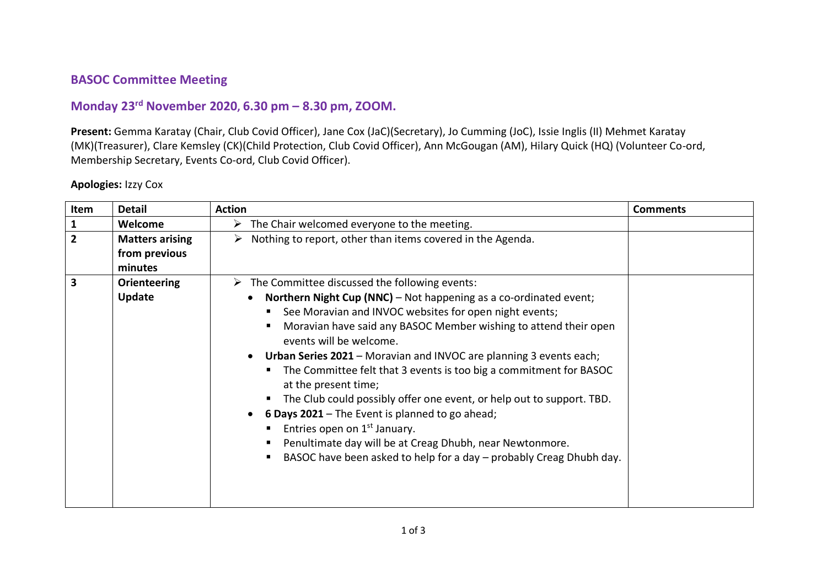## **BASOC Committee Meeting**

## **Monday 23rd November 2020, 6.30 pm – 8.30 pm, ZOOM.**

**Present:** Gemma Karatay (Chair, Club Covid Officer), Jane Cox (JaC)(Secretary), Jo Cumming (JoC), Issie Inglis (II) Mehmet Karatay (MK)(Treasurer), Clare Kemsley (CK)(Child Protection, Club Covid Officer), Ann McGougan (AM), Hilary Quick (HQ) (Volunteer Co-ord, Membership Secretary, Events Co-ord, Club Covid Officer).

## **Apologies:** Izzy Cox

| Item           | <b>Detail</b>                                      | <b>Action</b>                                                                                                                                                                                                                                                                                                                                                                                                                                                                                                                                                                                                                                                                                                                                                               | <b>Comments</b> |
|----------------|----------------------------------------------------|-----------------------------------------------------------------------------------------------------------------------------------------------------------------------------------------------------------------------------------------------------------------------------------------------------------------------------------------------------------------------------------------------------------------------------------------------------------------------------------------------------------------------------------------------------------------------------------------------------------------------------------------------------------------------------------------------------------------------------------------------------------------------------|-----------------|
| 1              | Welcome                                            | $\triangleright$ The Chair welcomed everyone to the meeting.                                                                                                                                                                                                                                                                                                                                                                                                                                                                                                                                                                                                                                                                                                                |                 |
| $\overline{2}$ | <b>Matters arising</b><br>from previous<br>minutes | Nothing to report, other than items covered in the Agenda.<br>➤                                                                                                                                                                                                                                                                                                                                                                                                                                                                                                                                                                                                                                                                                                             |                 |
| 3              | <b>Orienteering</b><br>Update                      | $\triangleright$ The Committee discussed the following events:<br>Northern Night Cup (NNC) - Not happening as a co-ordinated event;<br>See Moravian and INVOC websites for open night events;<br>Moravian have said any BASOC Member wishing to attend their open<br>events will be welcome.<br>Urban Series 2021 - Moravian and INVOC are planning 3 events each;<br>The Committee felt that 3 events is too big a commitment for BASOC<br>at the present time;<br>The Club could possibly offer one event, or help out to support. TBD.<br>6 Days 2021 - The Event is planned to go ahead;<br>Entries open on 1 <sup>st</sup> January.<br>Penultimate day will be at Creag Dhubh, near Newtonmore.<br>BASOC have been asked to help for a day - probably Creag Dhubh day. |                 |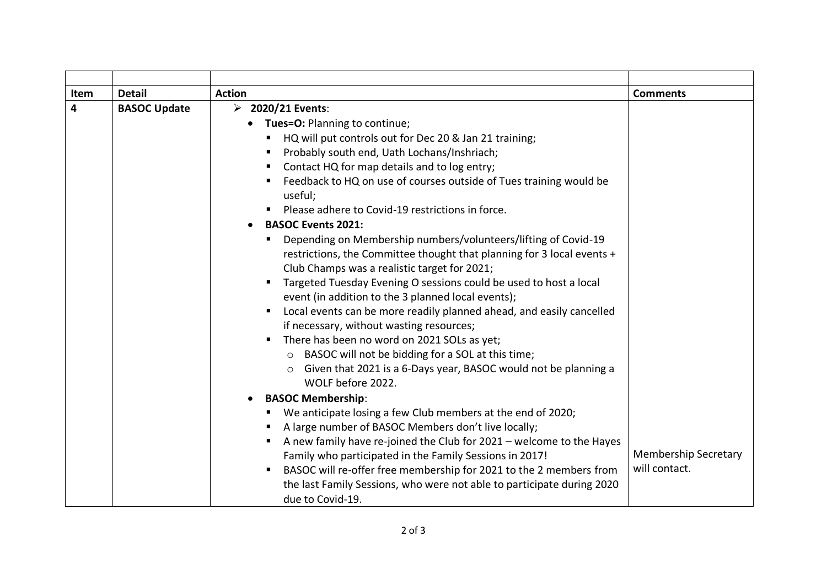| Item | <b>Detail</b>       | <b>Action</b>                                                                                                                                                                                                                                                                                                                                                                                                                                                                                                                                                                                                                                                                                                                                                                                                                                                                                                                                                                                                                                                                                                                                                                                                                                                                    | <b>Comments</b>                              |
|------|---------------------|----------------------------------------------------------------------------------------------------------------------------------------------------------------------------------------------------------------------------------------------------------------------------------------------------------------------------------------------------------------------------------------------------------------------------------------------------------------------------------------------------------------------------------------------------------------------------------------------------------------------------------------------------------------------------------------------------------------------------------------------------------------------------------------------------------------------------------------------------------------------------------------------------------------------------------------------------------------------------------------------------------------------------------------------------------------------------------------------------------------------------------------------------------------------------------------------------------------------------------------------------------------------------------|----------------------------------------------|
| 4    | <b>BASOC Update</b> | $\triangleright$ 2020/21 Events:<br>• Tues=O: Planning to continue;<br>HQ will put controls out for Dec 20 & Jan 21 training;<br>π.<br>Probably south end, Uath Lochans/Inshriach;<br>Contact HQ for map details and to log entry;<br>Feedback to HQ on use of courses outside of Tues training would be<br>useful;<br>Please adhere to Covid-19 restrictions in force.<br><b>BASOC Events 2021:</b><br>Depending on Membership numbers/volunteers/lifting of Covid-19<br>restrictions, the Committee thought that planning for 3 local events +<br>Club Champs was a realistic target for 2021;<br>Targeted Tuesday Evening O sessions could be used to host a local<br>event (in addition to the 3 planned local events);<br>Local events can be more readily planned ahead, and easily cancelled<br>if necessary, without wasting resources;<br>There has been no word on 2021 SOLs as yet;<br>BASOC will not be bidding for a SOL at this time;<br>$\circ$<br>Given that 2021 is a 6-Days year, BASOC would not be planning a<br>WOLF before 2022.<br><b>BASOC Membership:</b><br>We anticipate losing a few Club members at the end of 2020;<br>A large number of BASOC Members don't live locally;<br>A new family have re-joined the Club for 2021 - welcome to the Hayes |                                              |
|      |                     | Family who participated in the Family Sessions in 2017!<br>BASOC will re-offer free membership for 2021 to the 2 members from<br>$\blacksquare$<br>the last Family Sessions, who were not able to participate during 2020<br>due to Covid-19.                                                                                                                                                                                                                                                                                                                                                                                                                                                                                                                                                                                                                                                                                                                                                                                                                                                                                                                                                                                                                                    | <b>Membership Secretary</b><br>will contact. |